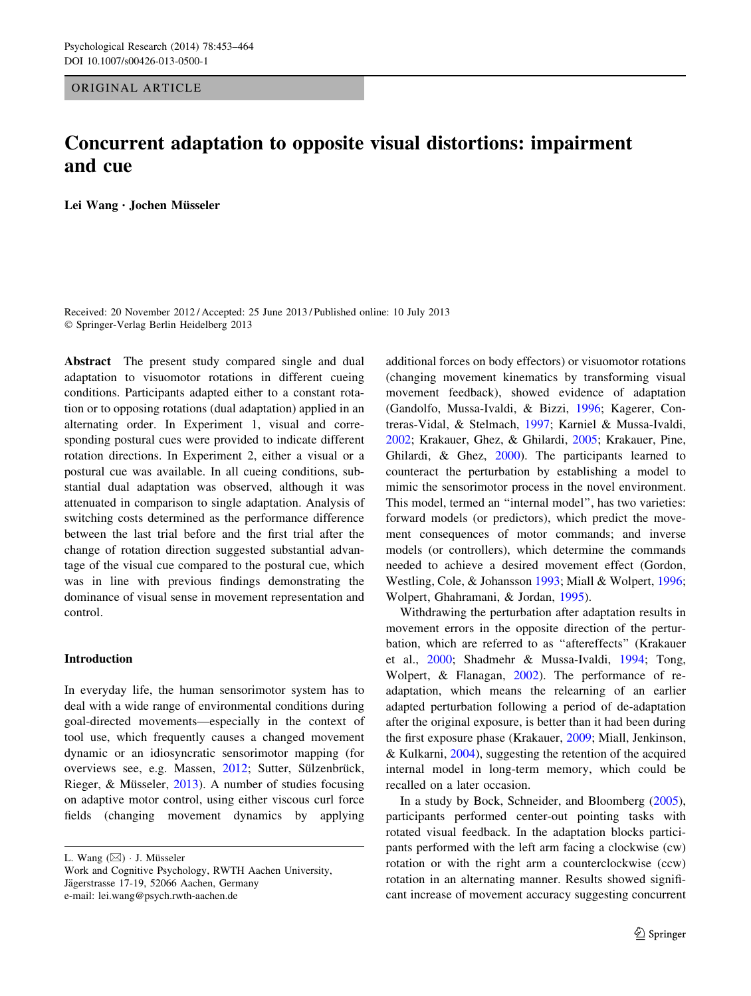ORIGINAL ARTICLE

# Concurrent adaptation to opposite visual distortions: impairment and cue

Lei Wang · Jochen Müsseler

Received: 20 November 2012 / Accepted: 25 June 2013 / Published online: 10 July 2013 - Springer-Verlag Berlin Heidelberg 2013

Abstract The present study compared single and dual adaptation to visuomotor rotations in different cueing conditions. Participants adapted either to a constant rotation or to opposing rotations (dual adaptation) applied in an alternating order. In Experiment 1, visual and corresponding postural cues were provided to indicate different rotation directions. In Experiment 2, either a visual or a postural cue was available. In all cueing conditions, substantial dual adaptation was observed, although it was attenuated in comparison to single adaptation. Analysis of switching costs determined as the performance difference between the last trial before and the first trial after the change of rotation direction suggested substantial advantage of the visual cue compared to the postural cue, which was in line with previous findings demonstrating the dominance of visual sense in movement representation and control.

# Introduction

In everyday life, the human sensorimotor system has to deal with a wide range of environmental conditions during goal-directed movements—especially in the context of tool use, which frequently causes a changed movement dynamic or an idiosyncratic sensorimotor mapping (for overviews see, e.g. Massen, [2012](#page-11-0); Sutter, Sülzenbrück, Rieger, & Müsseler,  $2013$ ). A number of studies focusing on adaptive motor control, using either viscous curl force fields (changing movement dynamics by applying

L. Wang (⊠) · J. Müsseler

additional forces on body effectors) or visuomotor rotations (changing movement kinematics by transforming visual movement feedback), showed evidence of adaptation (Gandolfo, Mussa-Ivaldi, & Bizzi, [1996;](#page-10-0) Kagerer, Contreras-Vidal, & Stelmach, [1997](#page-10-0); Karniel & Mussa-Ivaldi, [2002](#page-10-0); Krakauer, Ghez, & Ghilardi, [2005](#page-10-0); Krakauer, Pine, Ghilardi, & Ghez, [2000\)](#page-10-0). The participants learned to counteract the perturbation by establishing a model to mimic the sensorimotor process in the novel environment. This model, termed an ''internal model'', has two varieties: forward models (or predictors), which predict the movement consequences of motor commands; and inverse models (or controllers), which determine the commands needed to achieve a desired movement effect (Gordon, Westling, Cole, & Johansson [1993](#page-10-0); Miall & Wolpert, [1996](#page-11-0); Wolpert, Ghahramani, & Jordan, [1995\)](#page-11-0).

Withdrawing the perturbation after adaptation results in movement errors in the opposite direction of the perturbation, which are referred to as ''aftereffects'' (Krakauer et al., [2000;](#page-10-0) Shadmehr & Mussa-Ivaldi, [1994](#page-11-0); Tong, Wolpert, & Flanagan, [2002](#page-11-0)). The performance of readaptation, which means the relearning of an earlier adapted perturbation following a period of de-adaptation after the original exposure, is better than it had been during the first exposure phase (Krakauer, [2009](#page-10-0); Miall, Jenkinson, & Kulkarni, [2004](#page-11-0)), suggesting the retention of the acquired internal model in long-term memory, which could be recalled on a later occasion.

In a study by Bock, Schneider, and Bloomberg [\(2005](#page-10-0)), participants performed center-out pointing tasks with rotated visual feedback. In the adaptation blocks participants performed with the left arm facing a clockwise (cw) rotation or with the right arm a counterclockwise (ccw) rotation in an alternating manner. Results showed significant increase of movement accuracy suggesting concurrent

Work and Cognitive Psychology, RWTH Aachen University, Jägerstrasse 17-19, 52066 Aachen, Germany e-mail: lei.wang@psych.rwth-aachen.de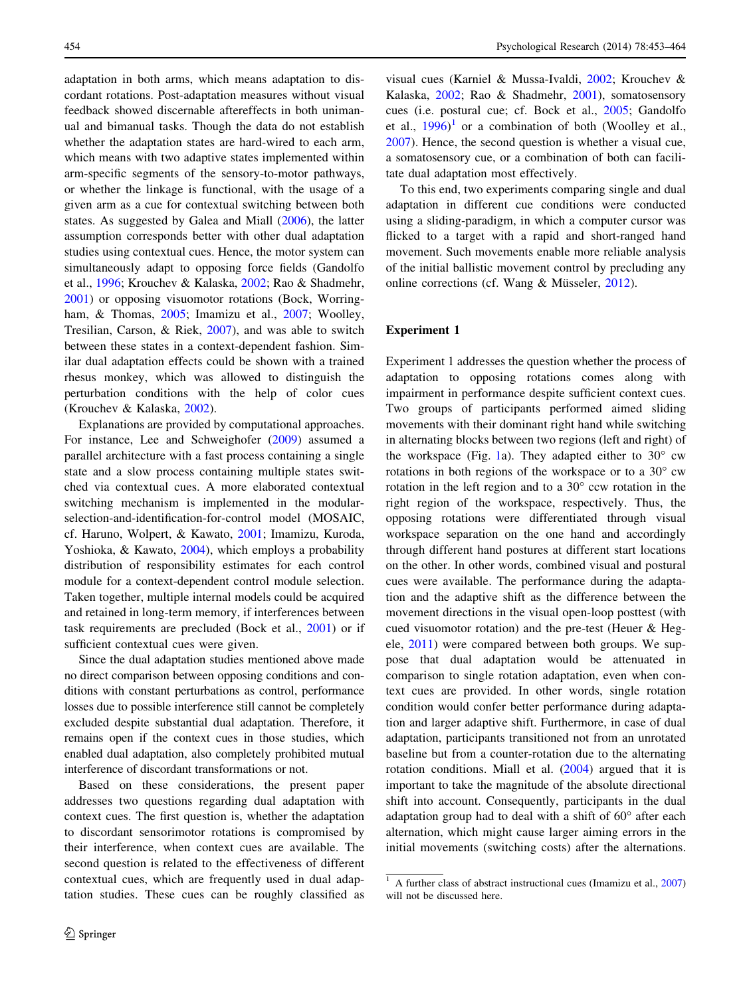adaptation in both arms, which means adaptation to discordant rotations. Post-adaptation measures without visual feedback showed discernable aftereffects in both unimanual and bimanual tasks. Though the data do not establish whether the adaptation states are hard-wired to each arm, which means with two adaptive states implemented within arm-specific segments of the sensory-to-motor pathways, or whether the linkage is functional, with the usage of a given arm as a cue for contextual switching between both states. As suggested by Galea and Miall [\(2006](#page-10-0)), the latter assumption corresponds better with other dual adaptation studies using contextual cues. Hence, the motor system can simultaneously adapt to opposing force fields (Gandolfo et al., [1996;](#page-10-0) Krouchev & Kalaska, [2002](#page-10-0); Rao & Shadmehr, [2001\)](#page-11-0) or opposing visuomotor rotations (Bock, Worringham, & Thomas, [2005;](#page-10-0) Imamizu et al., [2007;](#page-10-0) Woolley, Tresilian, Carson, & Riek, [2007](#page-11-0)), and was able to switch between these states in a context-dependent fashion. Similar dual adaptation effects could be shown with a trained rhesus monkey, which was allowed to distinguish the perturbation conditions with the help of color cues (Krouchev & Kalaska, [2002](#page-10-0)).

Explanations are provided by computational approaches. For instance, Lee and Schweighofer ([2009\)](#page-11-0) assumed a parallel architecture with a fast process containing a single state and a slow process containing multiple states switched via contextual cues. A more elaborated contextual switching mechanism is implemented in the modularselection-and-identification-for-control model (MOSAIC, cf. Haruno, Wolpert, & Kawato, [2001;](#page-10-0) Imamizu, Kuroda, Yoshioka, & Kawato, [2004](#page-10-0)), which employs a probability distribution of responsibility estimates for each control module for a context-dependent control module selection. Taken together, multiple internal models could be acquired and retained in long-term memory, if interferences between task requirements are precluded (Bock et al., [2001](#page-10-0)) or if sufficient contextual cues were given.

Since the dual adaptation studies mentioned above made no direct comparison between opposing conditions and conditions with constant perturbations as control, performance losses due to possible interference still cannot be completely excluded despite substantial dual adaptation. Therefore, it remains open if the context cues in those studies, which enabled dual adaptation, also completely prohibited mutual interference of discordant transformations or not.

Based on these considerations, the present paper addresses two questions regarding dual adaptation with context cues. The first question is, whether the adaptation to discordant sensorimotor rotations is compromised by their interference, when context cues are available. The second question is related to the effectiveness of different contextual cues, which are frequently used in dual adaptation studies. These cues can be roughly classified as

visual cues (Karniel & Mussa-Ivaldi, [2002;](#page-10-0) Krouchev & Kalaska, [2002;](#page-10-0) Rao & Shadmehr, [2001](#page-11-0)), somatosensory cues (i.e. postural cue; cf. Bock et al., [2005;](#page-10-0) Gandolfo et al.,  $1996$ <sup>1</sup> or a combination of both (Woolley et al., [2007](#page-11-0)). Hence, the second question is whether a visual cue, a somatosensory cue, or a combination of both can facilitate dual adaptation most effectively.

To this end, two experiments comparing single and dual adaptation in different cue conditions were conducted using a sliding-paradigm, in which a computer cursor was flicked to a target with a rapid and short-ranged hand movement. Such movements enable more reliable analysis of the initial ballistic movement control by precluding any online corrections (cf. Wang  $&$  Müsseler, [2012](#page-11-0)).

## Experiment 1

Experiment 1 addresses the question whether the process of adaptation to opposing rotations comes along with impairment in performance despite sufficient context cues. Two groups of participants performed aimed sliding movements with their dominant right hand while switching in alternating blocks between two regions (left and right) of the workspace (Fig. [1a](#page-2-0)). They adapted either to  $30^{\circ}$  cw rotations in both regions of the workspace or to a  $30^{\circ}$  cw rotation in the left region and to a  $30^{\circ}$  ccw rotation in the right region of the workspace, respectively. Thus, the opposing rotations were differentiated through visual workspace separation on the one hand and accordingly through different hand postures at different start locations on the other. In other words, combined visual and postural cues were available. The performance during the adaptation and the adaptive shift as the difference between the movement directions in the visual open-loop posttest (with cued visuomotor rotation) and the pre-test (Heuer & Hegele, [2011](#page-10-0)) were compared between both groups. We suppose that dual adaptation would be attenuated in comparison to single rotation adaptation, even when context cues are provided. In other words, single rotation condition would confer better performance during adaptation and larger adaptive shift. Furthermore, in case of dual adaptation, participants transitioned not from an unrotated baseline but from a counter-rotation due to the alternating rotation conditions. Miall et al. [\(2004](#page-11-0)) argued that it is important to take the magnitude of the absolute directional shift into account. Consequently, participants in the dual adaptation group had to deal with a shift of  $60^\circ$  after each alternation, which might cause larger aiming errors in the initial movements (switching costs) after the alternations.

 $1$  A further class of abstract instructional cues (Imamizu et al., [2007](#page-10-0)) will not be discussed here.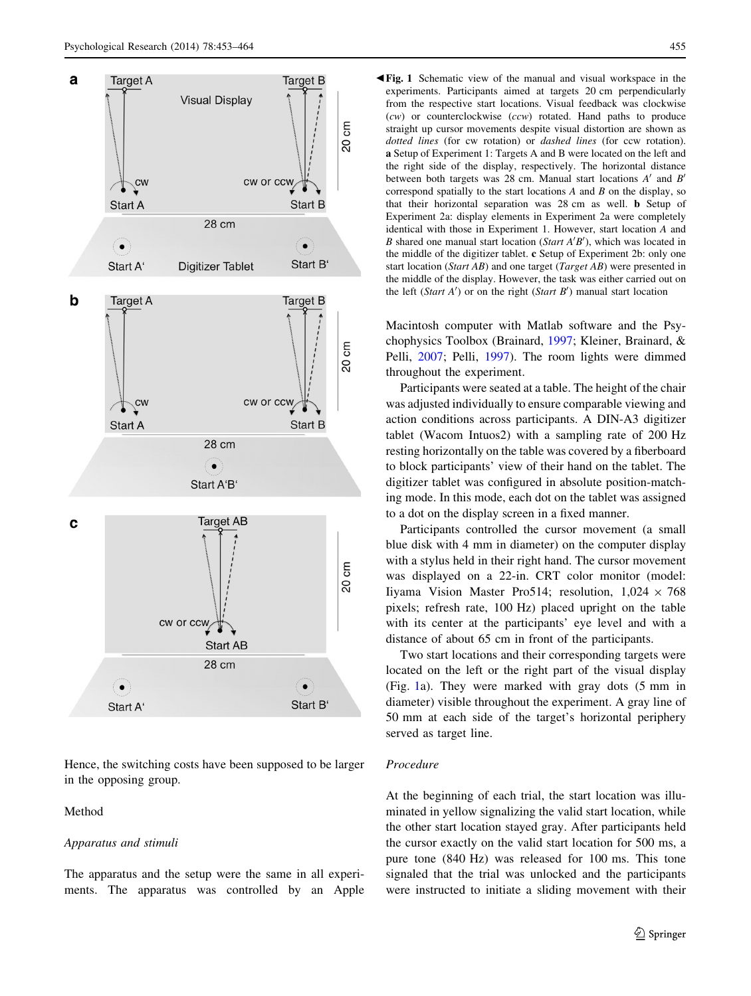<span id="page-2-0"></span>

Hence, the switching costs have been supposed to be larger in the opposing group.

#### Method

## Apparatus and stimuli

The apparatus and the setup were the same in all experiments. The apparatus was controlled by an Apple Fig. 1 Schematic view of the manual and visual workspace in the b experiments. Participants aimed at targets 20 cm perpendicularly from the respective start locations. Visual feedback was clockwise  $(cw)$  or counterclockwise  $(ccw)$  rotated. Hand paths to produce straight up cursor movements despite visual distortion are shown as dotted lines (for cw rotation) or dashed lines (for ccw rotation). a Setup of Experiment 1: Targets A and B were located on the left and the right side of the display, respectively. The horizontal distance between both targets was 28 cm. Manual start locations  $A'$  and  $B'$ correspond spatially to the start locations  $A$  and  $B$  on the display, so that their horizontal separation was 28 cm as well. b Setup of Experiment 2a: display elements in Experiment 2a were completely identical with those in Experiment 1. However, start location A and B shared one manual start location (Start  $A'B'$ ), which was located in the middle of the digitizer tablet. c Setup of Experiment 2b: only one start location (Start AB) and one target (Target AB) were presented in the middle of the display. However, the task was either carried out on the left (Start A') or on the right (Start B') manual start location

Macintosh computer with Matlab software and the Psychophysics Toolbox (Brainard, [1997](#page-10-0); Kleiner, Brainard, & Pelli, [2007;](#page-10-0) Pelli, [1997](#page-11-0)). The room lights were dimmed throughout the experiment.

Participants were seated at a table. The height of the chair was adjusted individually to ensure comparable viewing and action conditions across participants. A DIN-A3 digitizer tablet (Wacom Intuos2) with a sampling rate of 200 Hz resting horizontally on the table was covered by a fiberboard to block participants' view of their hand on the tablet. The digitizer tablet was configured in absolute position-matching mode. In this mode, each dot on the tablet was assigned to a dot on the display screen in a fixed manner.

Participants controlled the cursor movement (a small blue disk with 4 mm in diameter) on the computer display with a stylus held in their right hand. The cursor movement was displayed on a 22-in. CRT color monitor (model: Iiyama Vision Master Pro514; resolution,  $1,024 \times 768$ pixels; refresh rate, 100 Hz) placed upright on the table with its center at the participants' eye level and with a distance of about 65 cm in front of the participants.

Two start locations and their corresponding targets were located on the left or the right part of the visual display (Fig. 1a). They were marked with gray dots (5 mm in diameter) visible throughout the experiment. A gray line of 50 mm at each side of the target's horizontal periphery served as target line.

#### Procedure

At the beginning of each trial, the start location was illuminated in yellow signalizing the valid start location, while the other start location stayed gray. After participants held the cursor exactly on the valid start location for 500 ms, a pure tone (840 Hz) was released for 100 ms. This tone signaled that the trial was unlocked and the participants were instructed to initiate a sliding movement with their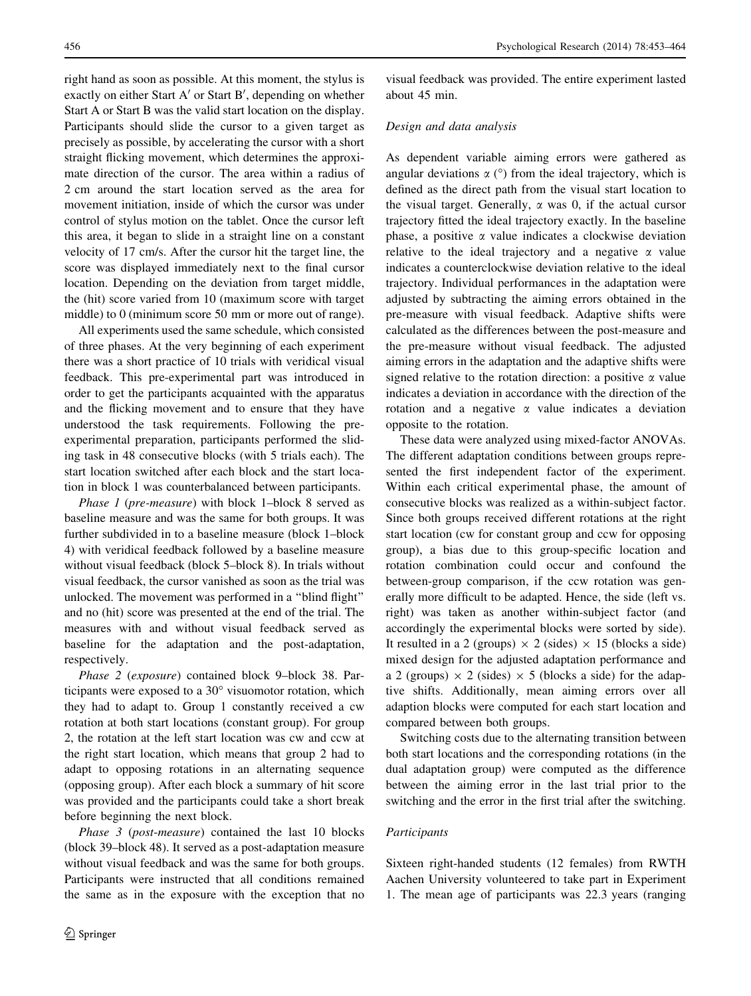right hand as soon as possible. At this moment, the stylus is exactly on either Start A' or Start B', depending on whether Start A or Start B was the valid start location on the display. Participants should slide the cursor to a given target as precisely as possible, by accelerating the cursor with a short straight flicking movement, which determines the approximate direction of the cursor. The area within a radius of 2 cm around the start location served as the area for movement initiation, inside of which the cursor was under control of stylus motion on the tablet. Once the cursor left this area, it began to slide in a straight line on a constant velocity of 17 cm/s. After the cursor hit the target line, the score was displayed immediately next to the final cursor location. Depending on the deviation from target middle, the (hit) score varied from 10 (maximum score with target middle) to 0 (minimum score 50 mm or more out of range).

All experiments used the same schedule, which consisted of three phases. At the very beginning of each experiment there was a short practice of 10 trials with veridical visual feedback. This pre-experimental part was introduced in order to get the participants acquainted with the apparatus and the flicking movement and to ensure that they have understood the task requirements. Following the preexperimental preparation, participants performed the sliding task in 48 consecutive blocks (with 5 trials each). The start location switched after each block and the start location in block 1 was counterbalanced between participants.

Phase 1 (pre-measure) with block 1–block 8 served as baseline measure and was the same for both groups. It was further subdivided in to a baseline measure (block 1–block 4) with veridical feedback followed by a baseline measure without visual feedback (block 5–block 8). In trials without visual feedback, the cursor vanished as soon as the trial was unlocked. The movement was performed in a ''blind flight'' and no (hit) score was presented at the end of the trial. The measures with and without visual feedback served as baseline for the adaptation and the post-adaptation, respectively.

Phase 2 (exposure) contained block 9–block 38. Participants were exposed to a  $30^{\circ}$  visuomotor rotation, which they had to adapt to. Group 1 constantly received a cw rotation at both start locations (constant group). For group 2, the rotation at the left start location was cw and ccw at the right start location, which means that group 2 had to adapt to opposing rotations in an alternating sequence (opposing group). After each block a summary of hit score was provided and the participants could take a short break before beginning the next block.

Phase 3 (post-measure) contained the last 10 blocks (block 39–block 48). It served as a post-adaptation measure without visual feedback and was the same for both groups. Participants were instructed that all conditions remained the same as in the exposure with the exception that no

visual feedback was provided. The entire experiment lasted about 45 min.

# Design and data analysis

As dependent variable aiming errors were gathered as angular deviations  $\alpha$  ( $\degree$ ) from the ideal trajectory, which is defined as the direct path from the visual start location to the visual target. Generally,  $\alpha$  was 0, if the actual cursor trajectory fitted the ideal trajectory exactly. In the baseline phase, a positive  $\alpha$  value indicates a clockwise deviation relative to the ideal trajectory and a negative  $\alpha$  value indicates a counterclockwise deviation relative to the ideal trajectory. Individual performances in the adaptation were adjusted by subtracting the aiming errors obtained in the pre-measure with visual feedback. Adaptive shifts were calculated as the differences between the post-measure and the pre-measure without visual feedback. The adjusted aiming errors in the adaptation and the adaptive shifts were signed relative to the rotation direction: a positive  $\alpha$  value indicates a deviation in accordance with the direction of the rotation and a negative  $\alpha$  value indicates a deviation opposite to the rotation.

These data were analyzed using mixed-factor ANOVAs. The different adaptation conditions between groups represented the first independent factor of the experiment. Within each critical experimental phase, the amount of consecutive blocks was realized as a within-subject factor. Since both groups received different rotations at the right start location (cw for constant group and ccw for opposing group), a bias due to this group-specific location and rotation combination could occur and confound the between-group comparison, if the ccw rotation was generally more difficult to be adapted. Hence, the side (left vs. right) was taken as another within-subject factor (and accordingly the experimental blocks were sorted by side). It resulted in a 2 (groups)  $\times$  2 (sides)  $\times$  15 (blocks a side) mixed design for the adjusted adaptation performance and a 2 (groups)  $\times$  2 (sides)  $\times$  5 (blocks a side) for the adaptive shifts. Additionally, mean aiming errors over all adaption blocks were computed for each start location and compared between both groups.

Switching costs due to the alternating transition between both start locations and the corresponding rotations (in the dual adaptation group) were computed as the difference between the aiming error in the last trial prior to the switching and the error in the first trial after the switching.

#### Participants

Sixteen right-handed students (12 females) from RWTH Aachen University volunteered to take part in Experiment 1. The mean age of participants was 22.3 years (ranging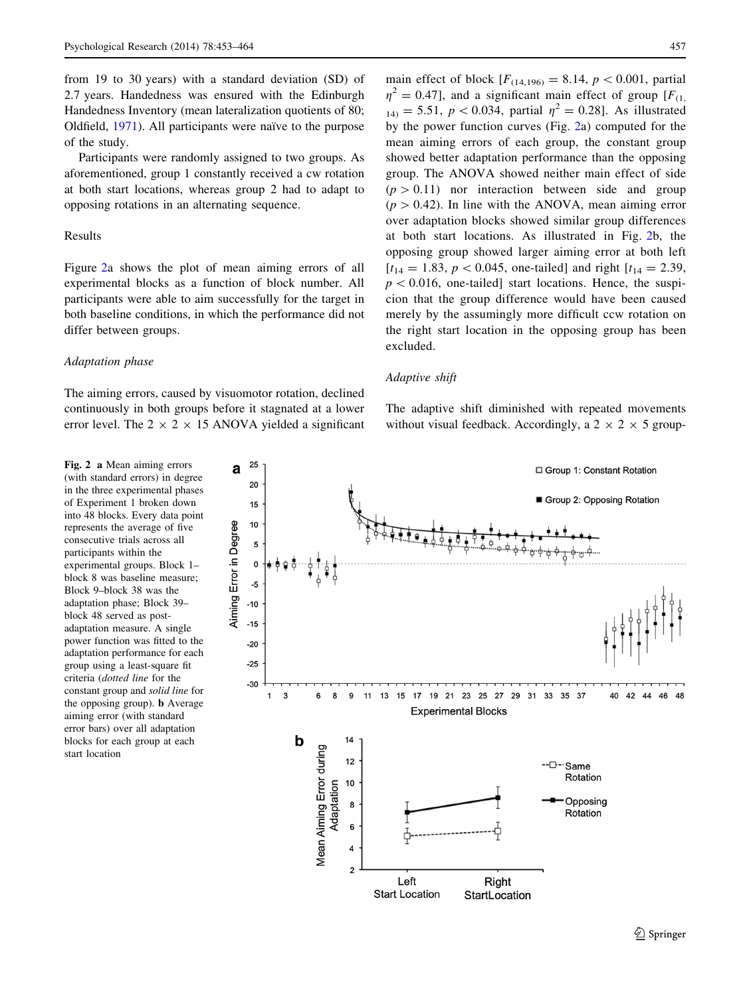<span id="page-4-0"></span>from 19 to 30 years) with a standard deviation (SD) of 2.7 years. Handedness was ensured with the Edinburgh Handedness Inventory (mean lateralization quotients of 80; Oldfield, [1971](#page-11-0)). All participants were naïve to the purpose of the study.

Participants were randomly assigned to two groups. As aforementioned, group 1 constantly received a cw rotation at both start locations, whereas group 2 had to adapt to opposing rotations in an alternating sequence.

## Results

Figure 2a shows the plot of mean aiming errors of all experimental blocks as a function of block number. All participants were able to aim successfully for the target in both baseline conditions, in which the performance did not differ between groups.

#### Adaptation phase

The aiming errors, caused by visuomotor rotation, declined continuously in both groups before it stagnated at a lower error level. The  $2 \times 2 \times 15$  ANOVA yielded a significant

Fig. 2 a Mean aiming errors (with standard errors) in degree in the three experimental phases of Experiment 1 broken down into 48 blocks. Every data point represents the average of five consecutive trials across all participants within the experimental groups. Block 1– block 8 was baseline measure; Block 9–block 38 was the adaptation phase; Block 39– block 48 served as postadaptation measure. A single power function was fitted to the adaptation performance for each group using a least-square fit criteria (dotted line for the constant group and solid line for the opposing group). b Average aiming error (with standard error bars) over all adaptation blocks for each group at each start location

main effect of block  $[F_{(14,196)} = 8.14, p < 0.001,$  partial  $\eta^2 = 0.47$ ], and a significant main effect of group [ $F_{(1)}$ ,  $_{14)}$  = 5.51, p < 0.034, partial  $\eta^2 = 0.28$ ]. As illustrated by the power function curves (Fig. 2a) computed for the mean aiming errors of each group, the constant group showed better adaptation performance than the opposing group. The ANOVA showed neither main effect of side  $(p > 0.11)$  nor interaction between side and group  $(p > 0.42)$ . In line with the ANOVA, mean aiming error over adaptation blocks showed similar group differences at both start locations. As illustrated in Fig. 2b, the opposing group showed larger aiming error at both left  $[t<sub>14</sub> = 1.83, p < 0.045,$  one-tailed] and right  $[t<sub>14</sub> = 2.39,$  $p \lt 0.016$ , one-tailed] start locations. Hence, the suspicion that the group difference would have been caused merely by the assumingly more difficult ccw rotation on the right start location in the opposing group has been excluded.

#### Adaptive shift

The adaptive shift diminished with repeated movements without visual feedback. Accordingly, a  $2 \times 2 \times 5$  group-

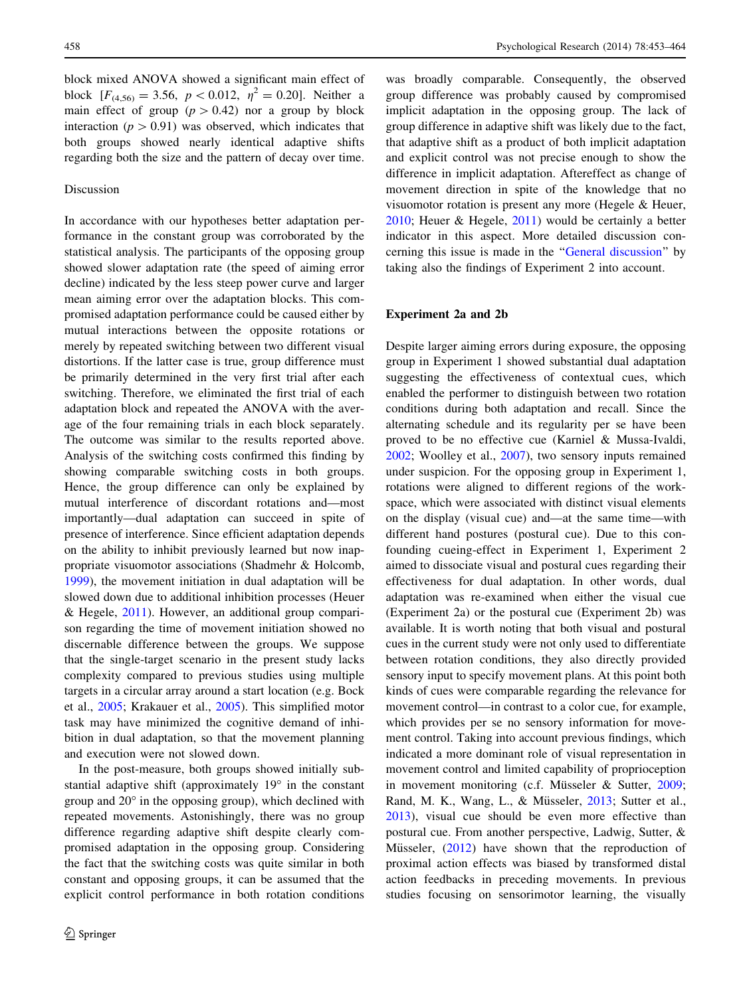block mixed ANOVA showed a significant main effect of block  $[F_{(4,56)} = 3.56, p < 0.012, \eta^2 = 0.20]$ . Neither a main effect of group  $(p > 0.42)$  nor a group by block interaction ( $p > 0.91$ ) was observed, which indicates that both groups showed nearly identical adaptive shifts regarding both the size and the pattern of decay over time.

## Discussion

In accordance with our hypotheses better adaptation performance in the constant group was corroborated by the statistical analysis. The participants of the opposing group showed slower adaptation rate (the speed of aiming error decline) indicated by the less steep power curve and larger mean aiming error over the adaptation blocks. This compromised adaptation performance could be caused either by mutual interactions between the opposite rotations or merely by repeated switching between two different visual distortions. If the latter case is true, group difference must be primarily determined in the very first trial after each switching. Therefore, we eliminated the first trial of each adaptation block and repeated the ANOVA with the average of the four remaining trials in each block separately. The outcome was similar to the results reported above. Analysis of the switching costs confirmed this finding by showing comparable switching costs in both groups. Hence, the group difference can only be explained by mutual interference of discordant rotations and—most importantly—dual adaptation can succeed in spite of presence of interference. Since efficient adaptation depends on the ability to inhibit previously learned but now inappropriate visuomotor associations (Shadmehr & Holcomb, [1999\)](#page-11-0), the movement initiation in dual adaptation will be slowed down due to additional inhibition processes (Heuer & Hegele, [2011\)](#page-10-0). However, an additional group comparison regarding the time of movement initiation showed no discernable difference between the groups. We suppose that the single-target scenario in the present study lacks complexity compared to previous studies using multiple targets in a circular array around a start location (e.g. Bock et al., [2005;](#page-10-0) Krakauer et al., [2005](#page-10-0)). This simplified motor task may have minimized the cognitive demand of inhibition in dual adaptation, so that the movement planning and execution were not slowed down.

In the post-measure, both groups showed initially substantial adaptive shift (approximately  $19^{\circ}$  in the constant group and  $20^{\circ}$  in the opposing group), which declined with repeated movements. Astonishingly, there was no group difference regarding adaptive shift despite clearly compromised adaptation in the opposing group. Considering the fact that the switching costs was quite similar in both constant and opposing groups, it can be assumed that the explicit control performance in both rotation conditions

was broadly comparable. Consequently, the observed group difference was probably caused by compromised implicit adaptation in the opposing group. The lack of group difference in adaptive shift was likely due to the fact, that adaptive shift as a product of both implicit adaptation and explicit control was not precise enough to show the difference in implicit adaptation. Aftereffect as change of movement direction in spite of the knowledge that no visuomotor rotation is present any more (Hegele & Heuer, [2010](#page-10-0); Heuer & Hegele, [2011](#page-10-0)) would be certainly a better indicator in this aspect. More detailed discussion concerning this issue is made in the ''[General discussion](#page-9-0)'' by taking also the findings of Experiment 2 into account.

## Experiment 2a and 2b

Despite larger aiming errors during exposure, the opposing group in Experiment 1 showed substantial dual adaptation suggesting the effectiveness of contextual cues, which enabled the performer to distinguish between two rotation conditions during both adaptation and recall. Since the alternating schedule and its regularity per se have been proved to be no effective cue (Karniel & Mussa-Ivaldi, [2002](#page-10-0); Woolley et al., [2007](#page-11-0)), two sensory inputs remained under suspicion. For the opposing group in Experiment 1, rotations were aligned to different regions of the workspace, which were associated with distinct visual elements on the display (visual cue) and—at the same time—with different hand postures (postural cue). Due to this confounding cueing-effect in Experiment 1, Experiment 2 aimed to dissociate visual and postural cues regarding their effectiveness for dual adaptation. In other words, dual adaptation was re-examined when either the visual cue (Experiment 2a) or the postural cue (Experiment 2b) was available. It is worth noting that both visual and postural cues in the current study were not only used to differentiate between rotation conditions, they also directly provided sensory input to specify movement plans. At this point both kinds of cues were comparable regarding the relevance for movement control—in contrast to a color cue, for example, which provides per se no sensory information for movement control. Taking into account previous findings, which indicated a more dominant role of visual representation in movement control and limited capability of proprioception in movement monitoring (c.f. Müsseler  $&$  Sutter, [2009](#page-11-0); Rand, M. K., Wang, L., & Müsseler, [2013;](#page-11-0) Sutter et al., [2013](#page-11-0)), visual cue should be even more effective than postural cue. From another perspective, Ladwig, Sutter, & Müsseler,  $(2012)$  $(2012)$  have shown that the reproduction of proximal action effects was biased by transformed distal action feedbacks in preceding movements. In previous studies focusing on sensorimotor learning, the visually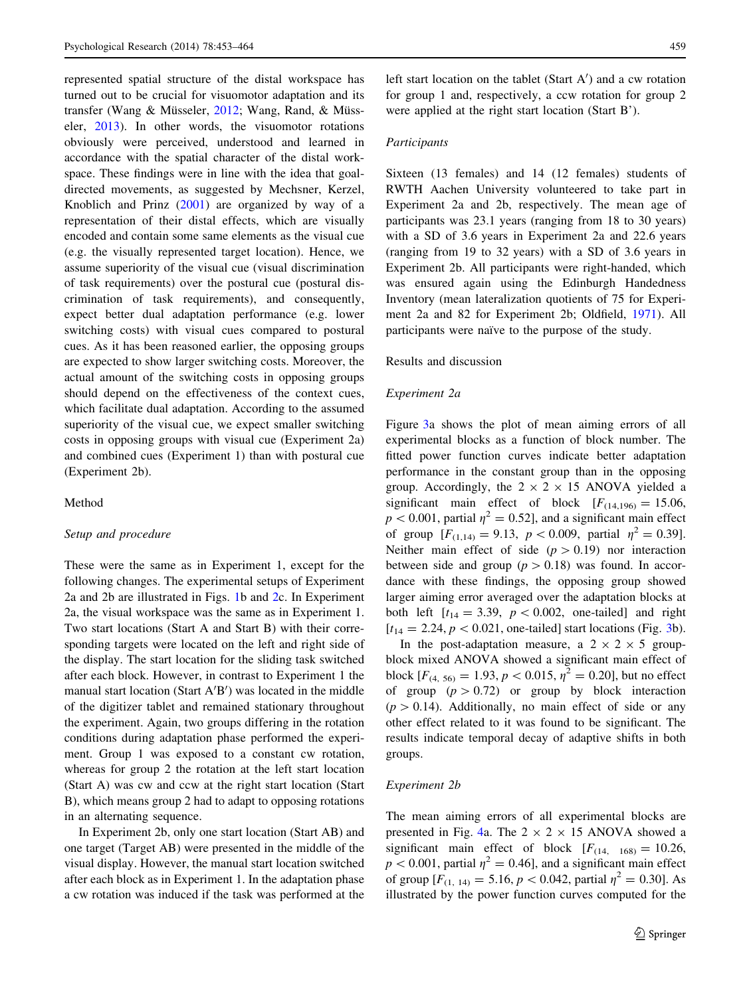represented spatial structure of the distal workspace has turned out to be crucial for visuomotor adaptation and its transfer (Wang & Müsseler,  $2012$ ; Wang, Rand, & Müsseler, [2013](#page-11-0)). In other words, the visuomotor rotations obviously were perceived, understood and learned in accordance with the spatial character of the distal workspace. These findings were in line with the idea that goaldirected movements, as suggested by Mechsner, Kerzel, Knoblich and Prinz ([2001\)](#page-11-0) are organized by way of a representation of their distal effects, which are visually encoded and contain some same elements as the visual cue (e.g. the visually represented target location). Hence, we assume superiority of the visual cue (visual discrimination of task requirements) over the postural cue (postural discrimination of task requirements), and consequently, expect better dual adaptation performance (e.g. lower switching costs) with visual cues compared to postural cues. As it has been reasoned earlier, the opposing groups are expected to show larger switching costs. Moreover, the actual amount of the switching costs in opposing groups should depend on the effectiveness of the context cues, which facilitate dual adaptation. According to the assumed superiority of the visual cue, we expect smaller switching costs in opposing groups with visual cue (Experiment 2a) and combined cues (Experiment 1) than with postural cue (Experiment 2b).

Method

## Setup and procedure

These were the same as in Experiment 1, except for the following changes. The experimental setups of Experiment 2a and 2b are illustrated in Figs. [1b](#page-2-0) and [2](#page-4-0)c. In Experiment 2a, the visual workspace was the same as in Experiment 1. Two start locations (Start A and Start B) with their corresponding targets were located on the left and right side of the display. The start location for the sliding task switched after each block. However, in contrast to Experiment 1 the manual start location (Start  $A'B'$ ) was located in the middle of the digitizer tablet and remained stationary throughout the experiment. Again, two groups differing in the rotation conditions during adaptation phase performed the experiment. Group 1 was exposed to a constant cw rotation, whereas for group 2 the rotation at the left start location (Start A) was cw and ccw at the right start location (Start B), which means group 2 had to adapt to opposing rotations in an alternating sequence.

In Experiment 2b, only one start location (Start AB) and one target (Target AB) were presented in the middle of the visual display. However, the manual start location switched after each block as in Experiment 1. In the adaptation phase a cw rotation was induced if the task was performed at the

left start location on the tablet (Start  $A'$ ) and a cw rotation for group 1 and, respectively, a ccw rotation for group 2 were applied at the right start location (Start B').

## Participants

Sixteen (13 females) and 14 (12 females) students of RWTH Aachen University volunteered to take part in Experiment 2a and 2b, respectively. The mean age of participants was 23.1 years (ranging from 18 to 30 years) with a SD of 3.6 years in Experiment 2a and 22.6 years (ranging from 19 to 32 years) with a SD of 3.6 years in Experiment 2b. All participants were right-handed, which was ensured again using the Edinburgh Handedness Inventory (mean lateralization quotients of 75 for Experiment 2a and 82 for Experiment 2b; Oldfield, [1971](#page-11-0)). All participants were naïve to the purpose of the study.

## Results and discussion

#### Experiment 2a

Figure [3](#page-7-0)a shows the plot of mean aiming errors of all experimental blocks as a function of block number. The fitted power function curves indicate better adaptation performance in the constant group than in the opposing group. Accordingly, the  $2 \times 2 \times 15$  ANOVA yielded a significant main effect of block  $[F_{(14,196)} = 15.06,$  $p < 0.001$ , partial  $\eta^2 = 0.52$ ], and a significant main effect of group  $[F_{(1,14)} = 9.13, p < 0.009,$  partial  $\eta^2 = 0.39$ ]. Neither main effect of side  $(p > 0.19)$  nor interaction between side and group ( $p > 0.18$ ) was found. In accordance with these findings, the opposing group showed larger aiming error averaged over the adaptation blocks at both left  $[t_{14} = 3.39, p < 0.002,$  one-tailed] and right  $[t<sub>14</sub> = 2.24, p < 0.021,$  one-tailed] start locations (Fig. [3](#page-7-0)b).

In the post-adaptation measure, a  $2 \times 2 \times 5$  groupblock mixed ANOVA showed a significant main effect of block  $[F_{(4, 56)} = 1.93, p < 0.015, \eta^2 = 0.20]$ , but no effect of group  $(p>0.72)$  or group by block interaction  $(p > 0.14)$ . Additionally, no main effect of side or any other effect related to it was found to be significant. The results indicate temporal decay of adaptive shifts in both groups.

#### Experiment 2b

The mean aiming errors of all experimental blocks are presented in Fig. [4a](#page-8-0). The  $2 \times 2 \times 15$  ANOVA showed a significant main effect of block  $[F_{(14, 168)} = 10.26$ ,  $p < 0.001$ , partial  $\eta^2 = 0.46$ ], and a significant main effect of group  $[F_{(1, 14)} = 5.16, p < 0.042$ , partial  $\eta^2 = 0.30$ ]. As illustrated by the power function curves computed for the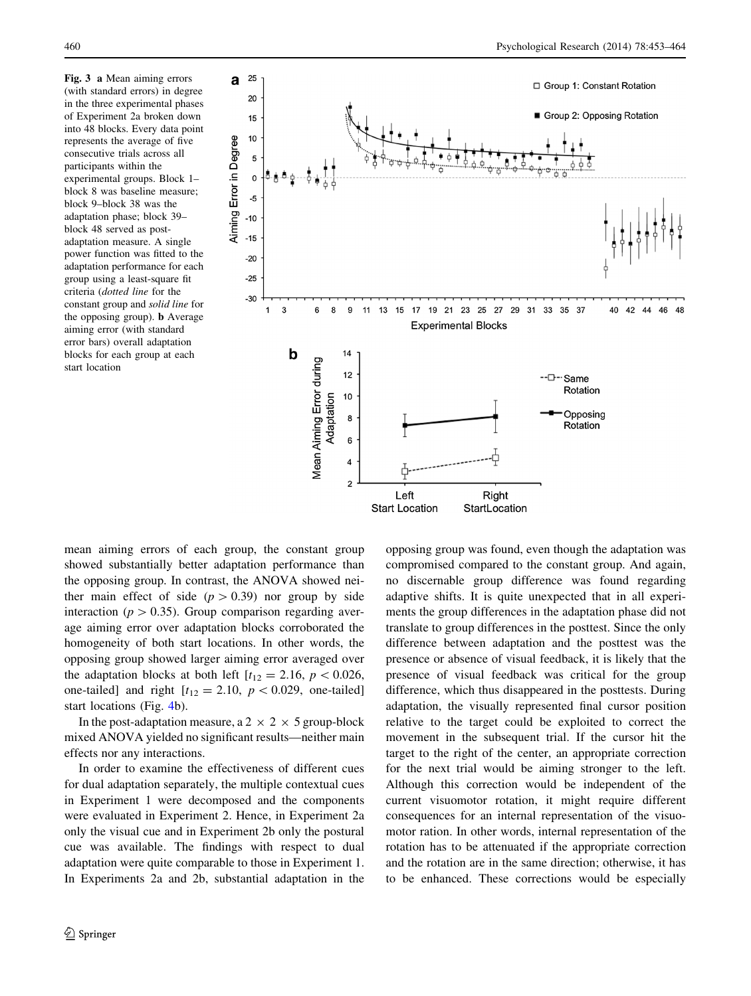<span id="page-7-0"></span>Fig. 3 a Mean aiming errors (with standard errors) in degree in the three experimental phases of Experiment 2a broken down into 48 blocks. Every data point represents the average of five consecutive trials across all participants within the experimental groups. Block 1– block 8 was baseline measure; block 9–block 38 was the adaptation phase; block 39– block 48 served as postadaptation measure. A single power function was fitted to the adaptation performance for each group using a least-square fit criteria (dotted line for the constant group and solid line for the opposing group). b Average aiming error (with standard error bars) overall adaptation blocks for each group at each start location



mean aiming errors of each group, the constant group showed substantially better adaptation performance than the opposing group. In contrast, the ANOVA showed neither main effect of side  $(p > 0.39)$  nor group by side interaction ( $p > 0.35$ ). Group comparison regarding average aiming error over adaptation blocks corroborated the homogeneity of both start locations. In other words, the opposing group showed larger aiming error averaged over the adaptation blocks at both left  $[t_{12} = 2.16, p < 0.026,$ one-tailed] and right  $[t_{12} = 2.10, p < 0.029,$  one-tailed] start locations (Fig. [4b](#page-8-0)).

In the post-adaptation measure, a  $2 \times 2 \times 5$  group-block mixed ANOVA yielded no significant results—neither main effects nor any interactions.

In order to examine the effectiveness of different cues for dual adaptation separately, the multiple contextual cues in Experiment 1 were decomposed and the components were evaluated in Experiment 2. Hence, in Experiment 2a only the visual cue and in Experiment 2b only the postural cue was available. The findings with respect to dual adaptation were quite comparable to those in Experiment 1. In Experiments 2a and 2b, substantial adaptation in the opposing group was found, even though the adaptation was compromised compared to the constant group. And again, no discernable group difference was found regarding adaptive shifts. It is quite unexpected that in all experiments the group differences in the adaptation phase did not translate to group differences in the posttest. Since the only difference between adaptation and the posttest was the presence or absence of visual feedback, it is likely that the presence of visual feedback was critical for the group difference, which thus disappeared in the posttests. During adaptation, the visually represented final cursor position relative to the target could be exploited to correct the movement in the subsequent trial. If the cursor hit the target to the right of the center, an appropriate correction for the next trial would be aiming stronger to the left. Although this correction would be independent of the current visuomotor rotation, it might require different consequences for an internal representation of the visuomotor ration. In other words, internal representation of the rotation has to be attenuated if the appropriate correction and the rotation are in the same direction; otherwise, it has to be enhanced. These corrections would be especially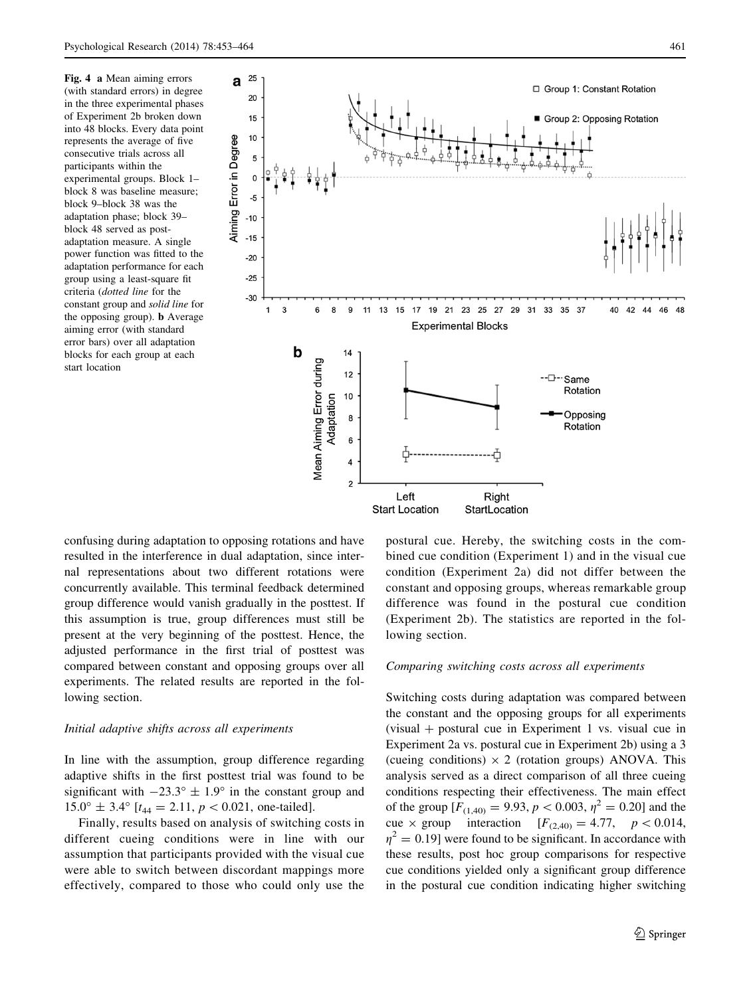<span id="page-8-0"></span>Fig. 4 a Mean aiming errors (with standard errors) in degree in the three experimental phases of Experiment 2b broken down into 48 blocks. Every data point represents the average of five consecutive trials across all participants within the experimental groups. Block 1– block 8 was baseline measure; block 9–block 38 was the adaptation phase; block 39– block 48 served as postadaptation measure. A single power function was fitted to the adaptation performance for each group using a least-square fit criteria (dotted line for the constant group and solid line for the opposing group). b Average aiming error (with standard error bars) over all adaptation blocks for each group at each start location



confusing during adaptation to opposing rotations and have resulted in the interference in dual adaptation, since internal representations about two different rotations were concurrently available. This terminal feedback determined group difference would vanish gradually in the posttest. If this assumption is true, group differences must still be present at the very beginning of the posttest. Hence, the adjusted performance in the first trial of posttest was compared between constant and opposing groups over all experiments. The related results are reported in the following section.

#### Initial adaptive shifts across all experiments

In line with the assumption, group difference regarding adaptive shifts in the first posttest trial was found to be significant with  $-23.3^{\circ} \pm 1.9^{\circ}$  in the constant group and  $15.0^{\circ} \pm 3.4^{\circ}$  [ $t_{44} = 2.11$ ,  $p < 0.021$ , one-tailed].

Finally, results based on analysis of switching costs in different cueing conditions were in line with our assumption that participants provided with the visual cue were able to switch between discordant mappings more effectively, compared to those who could only use the postural cue. Hereby, the switching costs in the combined cue condition (Experiment 1) and in the visual cue condition (Experiment 2a) did not differ between the constant and opposing groups, whereas remarkable group difference was found in the postural cue condition (Experiment 2b). The statistics are reported in the following section.

#### Comparing switching costs across all experiments

Switching costs during adaptation was compared between the constant and the opposing groups for all experiments (visual  $+$  postural cue in Experiment 1 vs. visual cue in Experiment 2a vs. postural cue in Experiment 2b) using a 3 (cueing conditions)  $\times$  2 (rotation groups) ANOVA. This analysis served as a direct comparison of all three cueing conditions respecting their effectiveness. The main effect of the group  $[F_{(1,40)} = 9.93, p < 0.003, \eta^2 = 0.20]$  and the cue  $\times$  group interaction  $[F_{(2,40)} = 4.77, p < 0.014,$  $\eta^2 = 0.19$ ] were found to be significant. In accordance with these results, post hoc group comparisons for respective cue conditions yielded only a significant group difference in the postural cue condition indicating higher switching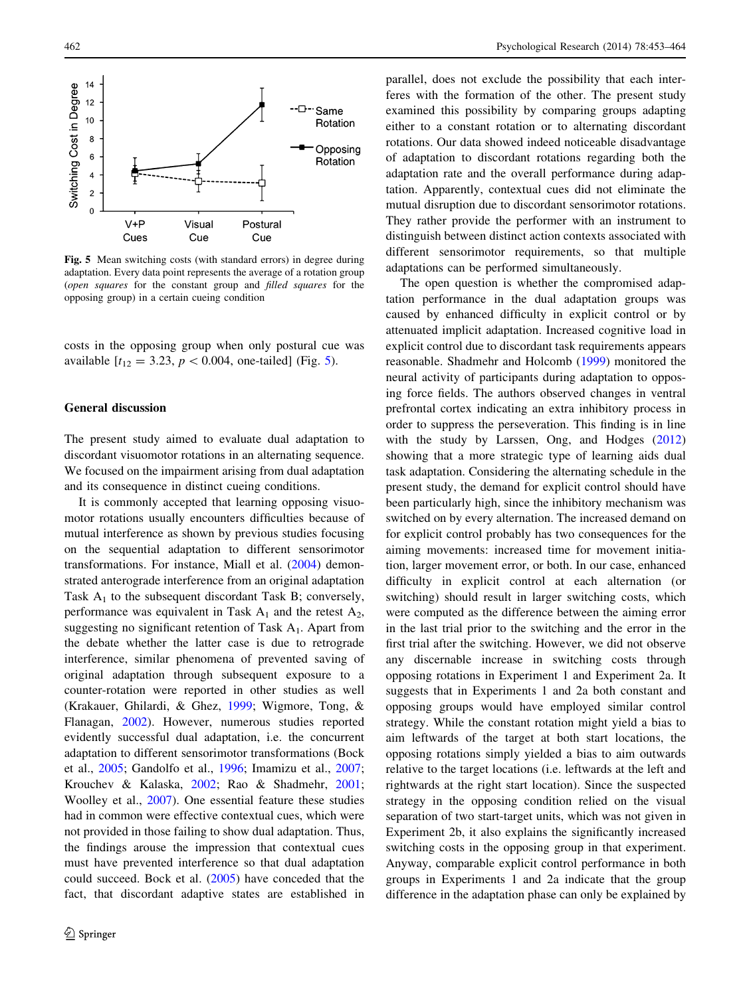<span id="page-9-0"></span>

Fig. 5 Mean switching costs (with standard errors) in degree during adaptation. Every data point represents the average of a rotation group (open squares for the constant group and filled squares for the opposing group) in a certain cueing condition

costs in the opposing group when only postural cue was available  $[t_{12} = 3.23, p < 0.004,$  one-tailed] (Fig. 5).

#### General discussion

The present study aimed to evaluate dual adaptation to discordant visuomotor rotations in an alternating sequence. We focused on the impairment arising from dual adaptation and its consequence in distinct cueing conditions.

It is commonly accepted that learning opposing visuomotor rotations usually encounters difficulties because of mutual interference as shown by previous studies focusing on the sequential adaptation to different sensorimotor transformations. For instance, Miall et al. [\(2004](#page-11-0)) demonstrated anterograde interference from an original adaptation Task  $A_1$  to the subsequent discordant Task B; conversely, performance was equivalent in Task  $A_1$  and the retest  $A_2$ , suggesting no significant retention of Task  $A_1$ . Apart from the debate whether the latter case is due to retrograde interference, similar phenomena of prevented saving of original adaptation through subsequent exposure to a counter-rotation were reported in other studies as well (Krakauer, Ghilardi, & Ghez, [1999](#page-10-0); Wigmore, Tong, & Flanagan, [2002\)](#page-11-0). However, numerous studies reported evidently successful dual adaptation, i.e. the concurrent adaptation to different sensorimotor transformations (Bock et al., [2005](#page-10-0); Gandolfo et al., [1996](#page-10-0); Imamizu et al., [2007](#page-10-0); Krouchev & Kalaska, [2002;](#page-10-0) Rao & Shadmehr, [2001](#page-11-0); Woolley et al., [2007\)](#page-11-0). One essential feature these studies had in common were effective contextual cues, which were not provided in those failing to show dual adaptation. Thus, the findings arouse the impression that contextual cues must have prevented interference so that dual adaptation could succeed. Bock et al. [\(2005](#page-10-0)) have conceded that the fact, that discordant adaptive states are established in parallel, does not exclude the possibility that each interferes with the formation of the other. The present study examined this possibility by comparing groups adapting either to a constant rotation or to alternating discordant rotations. Our data showed indeed noticeable disadvantage of adaptation to discordant rotations regarding both the adaptation rate and the overall performance during adaptation. Apparently, contextual cues did not eliminate the mutual disruption due to discordant sensorimotor rotations. They rather provide the performer with an instrument to distinguish between distinct action contexts associated with different sensorimotor requirements, so that multiple adaptations can be performed simultaneously.

The open question is whether the compromised adaptation performance in the dual adaptation groups was caused by enhanced difficulty in explicit control or by attenuated implicit adaptation. Increased cognitive load in explicit control due to discordant task requirements appears reasonable. Shadmehr and Holcomb ([1999\)](#page-11-0) monitored the neural activity of participants during adaptation to opposing force fields. The authors observed changes in ventral prefrontal cortex indicating an extra inhibitory process in order to suppress the perseveration. This finding is in line with the study by Larssen, Ong, and Hodges ([2012\)](#page-11-0) showing that a more strategic type of learning aids dual task adaptation. Considering the alternating schedule in the present study, the demand for explicit control should have been particularly high, since the inhibitory mechanism was switched on by every alternation. The increased demand on for explicit control probably has two consequences for the aiming movements: increased time for movement initiation, larger movement error, or both. In our case, enhanced difficulty in explicit control at each alternation (or switching) should result in larger switching costs, which were computed as the difference between the aiming error in the last trial prior to the switching and the error in the first trial after the switching. However, we did not observe any discernable increase in switching costs through opposing rotations in Experiment 1 and Experiment 2a. It suggests that in Experiments 1 and 2a both constant and opposing groups would have employed similar control strategy. While the constant rotation might yield a bias to aim leftwards of the target at both start locations, the opposing rotations simply yielded a bias to aim outwards relative to the target locations (i.e. leftwards at the left and rightwards at the right start location). Since the suspected strategy in the opposing condition relied on the visual separation of two start-target units, which was not given in Experiment 2b, it also explains the significantly increased switching costs in the opposing group in that experiment. Anyway, comparable explicit control performance in both groups in Experiments 1 and 2a indicate that the group difference in the adaptation phase can only be explained by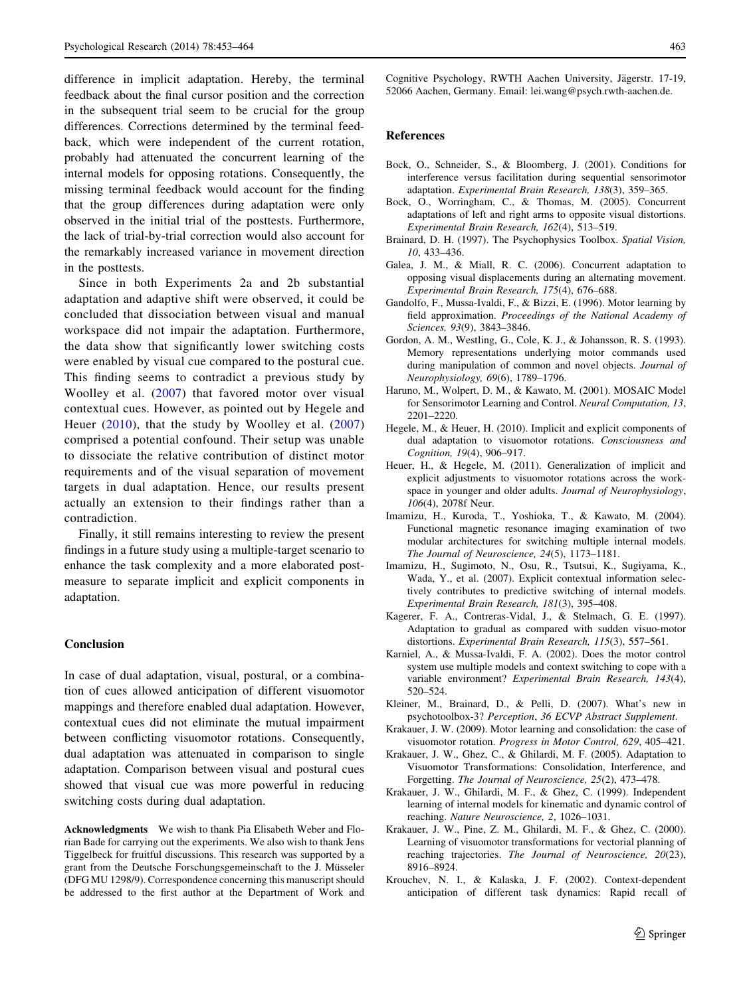<span id="page-10-0"></span>difference in implicit adaptation. Hereby, the terminal feedback about the final cursor position and the correction in the subsequent trial seem to be crucial for the group differences. Corrections determined by the terminal feedback, which were independent of the current rotation, probably had attenuated the concurrent learning of the internal models for opposing rotations. Consequently, the missing terminal feedback would account for the finding that the group differences during adaptation were only observed in the initial trial of the posttests. Furthermore, the lack of trial-by-trial correction would also account for the remarkably increased variance in movement direction in the posttests.

Since in both Experiments 2a and 2b substantial adaptation and adaptive shift were observed, it could be concluded that dissociation between visual and manual workspace did not impair the adaptation. Furthermore, the data show that significantly lower switching costs were enabled by visual cue compared to the postural cue. This finding seems to contradict a previous study by Woolley et al. ([2007](#page-11-0)) that favored motor over visual contextual cues. However, as pointed out by Hegele and Heuer (2010), that the study by Woolley et al. ([2007\)](#page-11-0) comprised a potential confound. Their setup was unable to dissociate the relative contribution of distinct motor requirements and of the visual separation of movement targets in dual adaptation. Hence, our results present actually an extension to their findings rather than a contradiction.

Finally, it still remains interesting to review the present findings in a future study using a multiple-target scenario to enhance the task complexity and a more elaborated postmeasure to separate implicit and explicit components in adaptation.

### Conclusion

In case of dual adaptation, visual, postural, or a combination of cues allowed anticipation of different visuomotor mappings and therefore enabled dual adaptation. However, contextual cues did not eliminate the mutual impairment between conflicting visuomotor rotations. Consequently, dual adaptation was attenuated in comparison to single adaptation. Comparison between visual and postural cues showed that visual cue was more powerful in reducing switching costs during dual adaptation.

Acknowledgments We wish to thank Pia Elisabeth Weber and Florian Bade for carrying out the experiments. We also wish to thank Jens Tiggelbeck for fruitful discussions. This research was supported by a grant from the Deutsche Forschungsgemeinschaft to the J. Müsseler (DFG MU 1298/9). Correspondence concerning this manuscript should be addressed to the first author at the Department of Work and

Cognitive Psychology, RWTH Aachen University, Jägerstr. 17-19, 52066 Aachen, Germany. Email: lei.wang@psych.rwth-aachen.de.

## References

- Bock, O., Schneider, S., & Bloomberg, J. (2001). Conditions for interference versus facilitation during sequential sensorimotor adaptation. Experimental Brain Research, 138(3), 359–365.
- Bock, O., Worringham, C., & Thomas, M. (2005). Concurrent adaptations of left and right arms to opposite visual distortions. Experimental Brain Research, 162(4), 513–519.
- Brainard, D. H. (1997). The Psychophysics Toolbox. Spatial Vision, 10, 433–436.
- Galea, J. M., & Miall, R. C. (2006). Concurrent adaptation to opposing visual displacements during an alternating movement. Experimental Brain Research, 175(4), 676–688.
- Gandolfo, F., Mussa-Ivaldi, F., & Bizzi, E. (1996). Motor learning by field approximation. Proceedings of the National Academy of Sciences, 93(9), 3843–3846.
- Gordon, A. M., Westling, G., Cole, K. J., & Johansson, R. S. (1993). Memory representations underlying motor commands used during manipulation of common and novel objects. Journal of Neurophysiology, 69(6), 1789–1796.
- Haruno, M., Wolpert, D. M., & Kawato, M. (2001). MOSAIC Model for Sensorimotor Learning and Control. Neural Computation, 13, 2201–2220.
- Hegele, M., & Heuer, H. (2010). Implicit and explicit components of dual adaptation to visuomotor rotations. Consciousness and Cognition, 19(4), 906–917.
- Heuer, H., & Hegele, M. (2011). Generalization of implicit and explicit adjustments to visuomotor rotations across the workspace in younger and older adults. Journal of Neurophysiology, 106(4), 2078f Neur.
- Imamizu, H., Kuroda, T., Yoshioka, T., & Kawato, M. (2004). Functional magnetic resonance imaging examination of two modular architectures for switching multiple internal models. The Journal of Neuroscience, 24(5), 1173–1181.
- Imamizu, H., Sugimoto, N., Osu, R., Tsutsui, K., Sugiyama, K., Wada, Y., et al. (2007). Explicit contextual information selectively contributes to predictive switching of internal models. Experimental Brain Research, 181(3), 395–408.
- Kagerer, F. A., Contreras-Vidal, J., & Stelmach, G. E. (1997). Adaptation to gradual as compared with sudden visuo-motor distortions. Experimental Brain Research, 115(3), 557–561.
- Karniel, A., & Mussa-Ivaldi, F. A. (2002). Does the motor control system use multiple models and context switching to cope with a variable environment? Experimental Brain Research, 143(4), 520–524.
- Kleiner, M., Brainard, D., & Pelli, D. (2007). What's new in psychotoolbox-3? Perception, 36 ECVP Abstract Supplement.
- Krakauer, J. W. (2009). Motor learning and consolidation: the case of visuomotor rotation. Progress in Motor Control, 629, 405–421.
- Krakauer, J. W., Ghez, C., & Ghilardi, M. F. (2005). Adaptation to Visuomotor Transformations: Consolidation, Interference, and Forgetting. The Journal of Neuroscience, 25(2), 473–478.
- Krakauer, J. W., Ghilardi, M. F., & Ghez, C. (1999). Independent learning of internal models for kinematic and dynamic control of reaching. Nature Neuroscience, 2, 1026–1031.
- Krakauer, J. W., Pine, Z. M., Ghilardi, M. F., & Ghez, C. (2000). Learning of visuomotor transformations for vectorial planning of reaching trajectories. The Journal of Neuroscience, 20(23), 8916–8924.
- Krouchev, N. I., & Kalaska, J. F. (2002). Context-dependent anticipation of different task dynamics: Rapid recall of